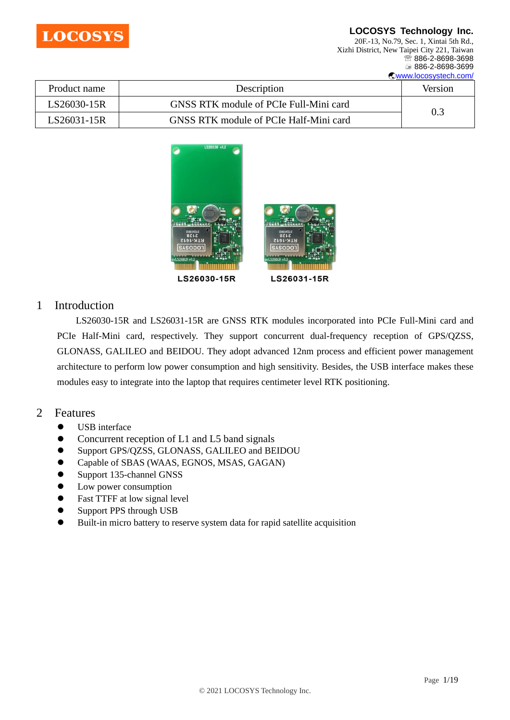

20F.-13, No.79, Sec. 1, Xintai 5th Rd., Xizhi District, New Taipei City 221, Taiwan <sup>5</sup>886-2-8698-3698 886-2-8698-3699 [www.locosystech.com/](http://www.locosystech.com/)

| Product name | Description                            | <b>Version</b> |
|--------------|----------------------------------------|----------------|
| LS26030-15R  | GNSS RTK module of PCIe Full-Mini card |                |
| LS26031-15R  | GNSS RTK module of PCIe Half-Mini card | 0.3            |



# 1 Introduction

LS26030-15R and LS26031-15R are GNSS RTK modules incorporated into PCIe Full-Mini card and PCIe Half-Mini card, respectively. They support concurrent dual-frequency reception of GPS/QZSS, GLONASS, GALILEO and BEIDOU. They adopt advanced 12nm process and efficient power management architecture to perform low power consumption and high sensitivity. Besides, the USB interface makes these modules easy to integrate into the laptop that requires centimeter level RTK positioning.

# 2 Features

- ⚫ USB interface
- ⚫ Concurrent reception of L1 and L5 band signals
- ⚫ Support GPS/QZSS, GLONASS, GALILEO and BEIDOU
- ⚫ Capable of SBAS (WAAS, EGNOS, MSAS, GAGAN)
- ⚫ Support 135-channel GNSS
- ⚫ Low power consumption
- ⚫ Fast TTFF at low signal level
- ⚫ Support PPS through USB
- ⚫ Built-in micro battery to reserve system data for rapid satellite acquisition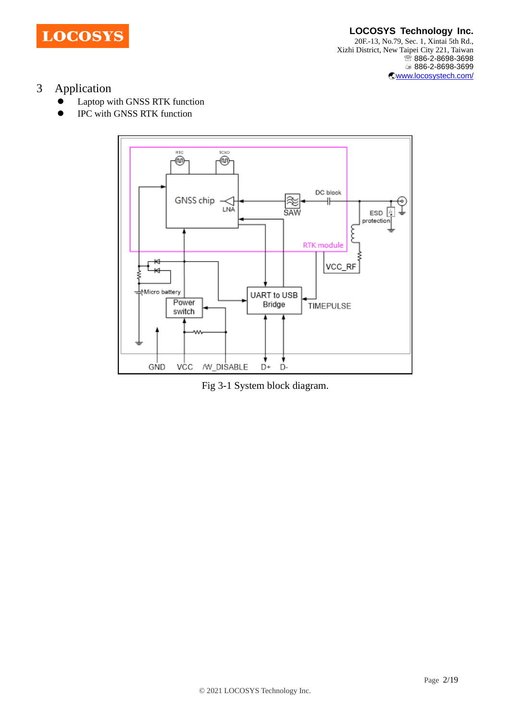

# 3 Application

- ⚫ Laptop with GNSS RTK function
- ⚫ IPC with GNSS RTK function



Fig 3-1 System block diagram.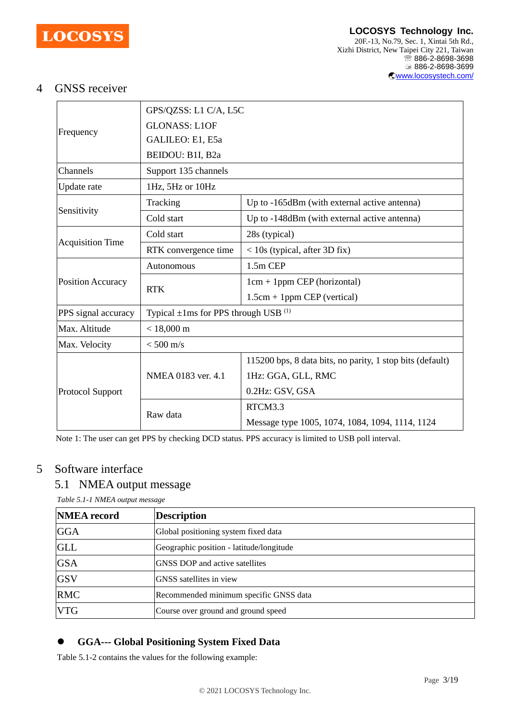

#### **LOCOSYS Technology Inc.** 20F.-13, No.79, Sec. 1, Xintai 5th Rd., Xizhi District, New Taipei City 221, Taiwan <sup>2</sup>886-2-8698-3698 886-2-8698-3699 [www.locosystech.com/](http://www.locosystech.com/)

# 4 GNSS receiver

|                         | GPS/QZSS: L1 C/A, L5C                          |                                                           |  |  |
|-------------------------|------------------------------------------------|-----------------------------------------------------------|--|--|
| Frequency               | <b>GLONASS: L1OF</b>                           |                                                           |  |  |
|                         | GALILEO: E1, E5a                               |                                                           |  |  |
|                         | BEIDOU: B1I, B2a                               |                                                           |  |  |
| Channels                | Support 135 channels                           |                                                           |  |  |
| Update rate             | 1Hz, 5Hz or 10Hz                               |                                                           |  |  |
|                         | Tracking                                       | Up to -165dBm (with external active antenna)              |  |  |
| Sensitivity             | Cold start                                     | Up to -148dBm (with external active antenna)              |  |  |
|                         | Cold start                                     | 28s (typical)                                             |  |  |
| <b>Acquisition Time</b> | RTK convergence time                           | $<$ 10s (typical, after 3D fix)                           |  |  |
|                         | Autonomous                                     | 1.5m CEP                                                  |  |  |
| Position Accuracy       | <b>RTK</b>                                     | $1cm + 1ppm$ CEP (horizontal)                             |  |  |
|                         |                                                | $1.5cm + 1ppm$ CEP (vertical)                             |  |  |
| PPS signal accuracy     | Typical $\pm$ 1ms for PPS through USB $^{(1)}$ |                                                           |  |  |
| Max. Altitude           | $< 18,000 \text{ m}$                           |                                                           |  |  |
| Max. Velocity           | $<$ 500 m/s                                    |                                                           |  |  |
| Protocol Support        |                                                | 115200 bps, 8 data bits, no parity, 1 stop bits (default) |  |  |
|                         | NMEA 0183 ver. 4.1                             | 1Hz: GGA, GLL, RMC                                        |  |  |
|                         |                                                | 0.2Hz: GSV, GSA                                           |  |  |
|                         |                                                | RTCM3.3                                                   |  |  |
|                         | Raw data                                       | Message type 1005, 1074, 1084, 1094, 1114, 1124           |  |  |

Note 1: The user can get PPS by checking DCD status. PPS accuracy is limited to USB poll interval.

# 5 Software interface

### 5.1 NMEA output message

*Table 5.1-1 NMEA output message*

| <b>NMEA</b> record | <b>Description</b>                       |
|--------------------|------------------------------------------|
| <b>GGA</b>         | Global positioning system fixed data     |
| <b>GLL</b>         | Geographic position - latitude/longitude |
| <b>GSA</b>         | <b>GNSS DOP</b> and active satellites    |
| <b>GSV</b>         | <b>GNSS</b> satellites in view           |
| <b>RMC</b>         | Recommended minimum specific GNSS data   |
| <b>VTG</b>         | Course over ground and ground speed      |

# ⚫ **GGA--- Global Positioning System Fixed Data**

Table 5.1-2 contains the values for the following example: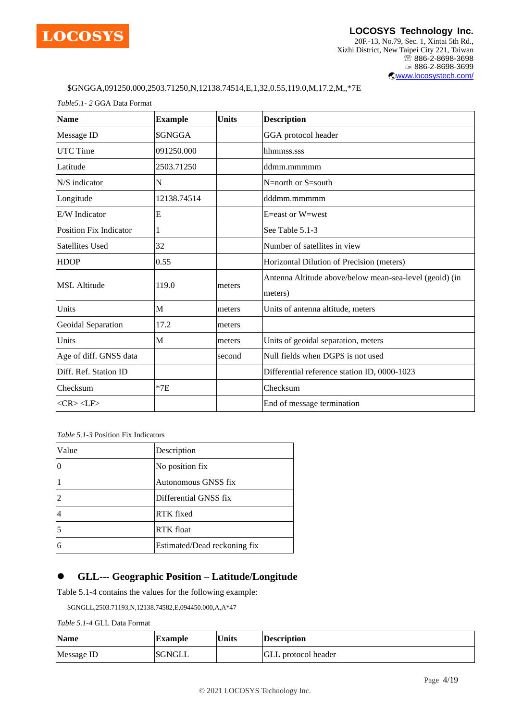

#### **LOCOSYS Technology Inc.** 20F.-13, No.79, Sec. 1, Xintai 5th Rd., Xizhi District, New Taipei City 221, Taiwan <sup>3</sup>886-2-8698-3698 886-2-8698-3699 [www.locosystech.com/](http://www.locosystech.com/)

#### \$GNGGA,091250.000,2503.71250,N,12138.74514,E,1,32,0.55,119.0,M,17.2,M,,\*7E

*Table5.1- 2* GGA Data Format

| <b>Name</b>                   | <b>Example</b> | <b>Units</b> | <b>Description</b>                                                 |
|-------------------------------|----------------|--------------|--------------------------------------------------------------------|
| Message ID                    | \$GNGGA        |              | GGA protocol header                                                |
| <b>UTC Time</b>               | 091250.000     |              | hhmmss.sss                                                         |
| Latitude                      | 2503.71250     |              | ddmm.mmmmm                                                         |
| N/S indicator                 | N              |              | $N =$ north or $S =$ south                                         |
| Longitude                     | 12138.74514    |              | dddmm.mmmmm                                                        |
| E/W Indicator                 | E              |              | E=east or W=west                                                   |
| <b>Position Fix Indicator</b> | 1              |              | See Table 5.1-3                                                    |
| <b>Satellites Used</b>        | 32             |              | Number of satellites in view                                       |
| <b>HDOP</b>                   | 0.55           |              | Horizontal Dilution of Precision (meters)                          |
| <b>MSL Altitude</b>           | 119.0          | meters       | Antenna Altitude above/below mean-sea-level (geoid) (in<br>meters) |
| Units                         | M              | meters       | Units of antenna altitude, meters                                  |
| Geoidal Separation            | 17.2           | meters       |                                                                    |
| Units                         | М              | meters       | Units of geoidal separation, meters                                |
| Age of diff. GNSS data        |                | second       | Null fields when DGPS is not used                                  |
| Diff. Ref. Station ID         |                |              | Differential reference station ID, 0000-1023                       |
| Checksum                      | $*7E$          |              | Checksum                                                           |
| $<$ CR> $<$ LF>               |                |              | End of message termination                                         |

*Table 5.1-3* Position Fix Indicators

| Value | Description                  |  |
|-------|------------------------------|--|
|       | No position fix              |  |
|       | Autonomous GNSS fix          |  |
|       | Differential GNSS fix        |  |
|       | <b>RTK</b> fixed             |  |
|       | <b>RTK</b> float             |  |
| 6     | Estimated/Dead reckoning fix |  |

### ⚫ **GLL--- Geographic Position – Latitude/Longitude**

Table 5.1-4 contains the values for the following example:

\$GNGLL,2503.71193,N,12138.74582,E,094450.000,A,A\*47

*Table 5.1-4* GLL Data Format

| <b>Name</b> | <b>Example</b> | <b>Units</b> | <b>Description</b>         |
|-------------|----------------|--------------|----------------------------|
| Message ID  | <b>SGNGLL</b>  |              | <b>GLL</b> protocol header |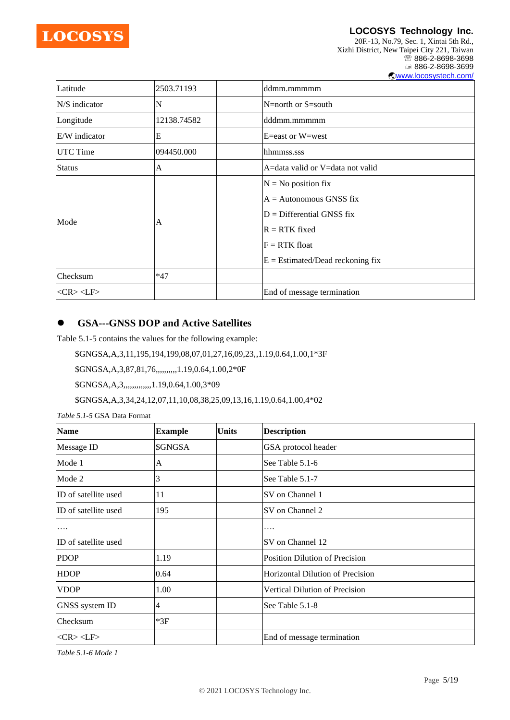

**LOCOSYS Technology Inc.** 20F.-13, No.79, Sec. 1, Xintai 5th Rd., Xizhi District, New Taipei City 221, Taiwan <sup>2</sup>886-2-8698-3698 886-2-8698-3699 [www.locosystech.com/](http://www.locosystech.com/)

| Latitude        | 2503.71193  | ddmm.mmmmm                                                                                                                                                    |
|-----------------|-------------|---------------------------------------------------------------------------------------------------------------------------------------------------------------|
| N/S indicator   | N           | $N =$ north or S $=$ south                                                                                                                                    |
| Longitude       | 12138.74582 | dddmm.mmmmm                                                                                                                                                   |
| E/W indicator   | E           | E=east or W=west                                                                                                                                              |
| UTC Time        | 094450.000  | hhmmss.sss                                                                                                                                                    |
| <b>Status</b>   | A           | A=data valid or V=data not valid                                                                                                                              |
| Mode            | A           | $N = No$ position fix<br>$A =$ Autonomous GNSS fix<br>$D =$ Differential GNSS fix<br>$R = RTK$ fixed<br>$F = RTK$ float<br>$E =$ Estimated/Dead reckoning fix |
| Checksum        | $*47$       |                                                                                                                                                               |
| $<$ CR> $<$ LF> |             | End of message termination                                                                                                                                    |

### ⚫ **GSA---GNSS DOP and Active Satellites**

Table 5.1-5 contains the values for the following example:

\$GNGSA,A,3,11,195,194,199,08,07,01,27,16,09,23,,1.19,0.64,1.00,1\*3F

\$GNGSA,A,3,87,81,76,,,,,,,,,,1.19,0.64,1.00,2\*0F

\$GNGSA,A,3,,,,,,,,,,,,,1.19,0.64,1.00,3\*09

\$GNGSA,A,3,34,24,12,07,11,10,08,38,25,09,13,16,1.19,0.64,1.00,4\*02

*Table 5.1-5* GSA Data Format

| <b>Name</b>          | <b>Example</b> | <b>Units</b> | <b>Description</b>               |
|----------------------|----------------|--------------|----------------------------------|
| Message ID           | \$GNGSA        |              | GSA protocol header              |
| Mode 1               | A              |              | See Table 5.1-6                  |
| Mode 2               | 3              |              | See Table 5.1-7                  |
| ID of satellite used | 11             |              | SV on Channel 1                  |
| ID of satellite used | 195            |              | SV on Channel 2                  |
| .                    |                |              | .                                |
| ID of satellite used |                |              | SV on Channel 12                 |
| <b>PDOP</b>          | 1.19           |              | Position Dilution of Precision   |
| <b>HDOP</b>          | 0.64           |              | Horizontal Dilution of Precision |
| <b>VDOP</b>          | 1.00           |              | Vertical Dilution of Precision   |
| GNSS system ID       | 4              |              | See Table 5.1-8                  |
| Checksum             | $*3F$          |              |                                  |
| $<$ CR> $<$ LF>      |                |              | End of message termination       |

*Table 5.1-6 Mode 1*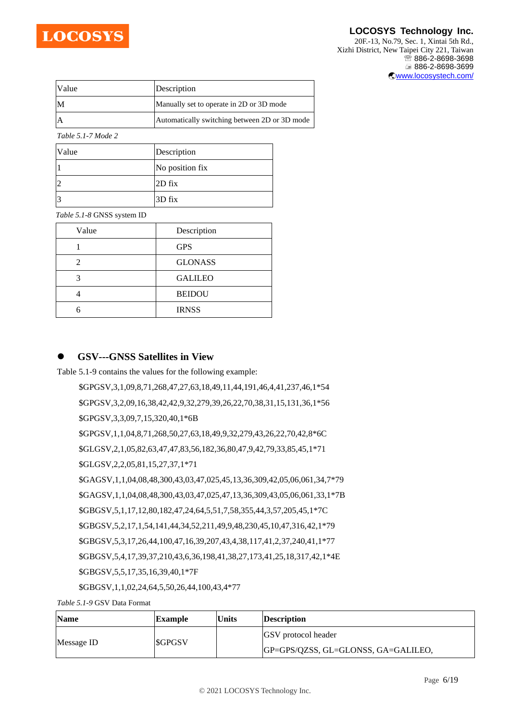

20F.-13, No.79, Sec. 1, Xintai 5th Rd., Xizhi District, New Taipei City 221, Taiwan ■ 886-2-8698-3698 886-2-8698-3699 [www.locosystech.com/](http://www.locosystech.com/)

| Value | Description                                   |
|-------|-----------------------------------------------|
| IM    | Manually set to operate in 2D or 3D mode      |
|       | Automatically switching between 2D or 3D mode |

*Table 5.1-7 Mode 2*

| Value | Description     |
|-------|-----------------|
|       | No position fix |
| 2     | $2D$ fix        |
| 3     | 3D fix          |

*Table 5.1-8* GNSS system ID

| Value | Description    |
|-------|----------------|
|       | <b>GPS</b>     |
| 2     | <b>GLONASS</b> |
|       | <b>GALILEO</b> |
|       | <b>BEIDOU</b>  |
|       | <b>IRNSS</b>   |

### ⚫ **GSV---GNSS Satellites in View**

Table 5.1-9 contains the values for the following example:

\$GPGSV,3,1,09,8,71,268,47,27,63,18,49,11,44,191,46,4,41,237,46,1\*54 \$GPGSV,3,2,09,16,38,42,42,9,32,279,39,26,22,70,38,31,15,131,36,1\*56 \$GPGSV,3,3,09,7,15,320,40,1\*6B \$GPGSV,1,1,04,8,71,268,50,27,63,18,49,9,32,279,43,26,22,70,42,8\*6C \$GLGSV,2,1,05,82,63,47,47,83,56,182,36,80,47,9,42,79,33,85,45,1\*71 \$GLGSV,2,2,05,81,15,27,37,1\*71 \$GAGSV,1,1,04,08,48,300,43,03,47,025,45,13,36,309,42,05,06,061,34,7\*79 \$GAGSV,1,1,04,08,48,300,43,03,47,025,47,13,36,309,43,05,06,061,33,1\*7B \$GBGSV,5,1,17,12,80,182,47,24,64,5,51,7,58,355,44,3,57,205,45,1\*7C \$GBGSV,5,2,17,1,54,141,44,34,52,211,49,9,48,230,45,10,47,316,42,1\*79 \$GBGSV,5,3,17,26,44,100,47,16,39,207,43,4,38,117,41,2,37,240,41,1\*77 \$GBGSV,5,4,17,39,37,210,43,6,36,198,41,38,27,173,41,25,18,317,42,1\*4E \$GBGSV,5,5,17,35,16,39,40,1\*7F

\$GBGSV,1,1,02,24,64,5,50,26,44,100,43,4\*77

*Table 5.1-9* GSV Data Format

| <b>Name</b> | Example       | <b>Units</b> | Description                         |
|-------------|---------------|--------------|-------------------------------------|
|             |               |              | <b>GSV</b> protocol header          |
| Message ID  | <b>SGPGSV</b> |              | GP=GPS/QZSS, GL=GLONSS, GA=GALILEO, |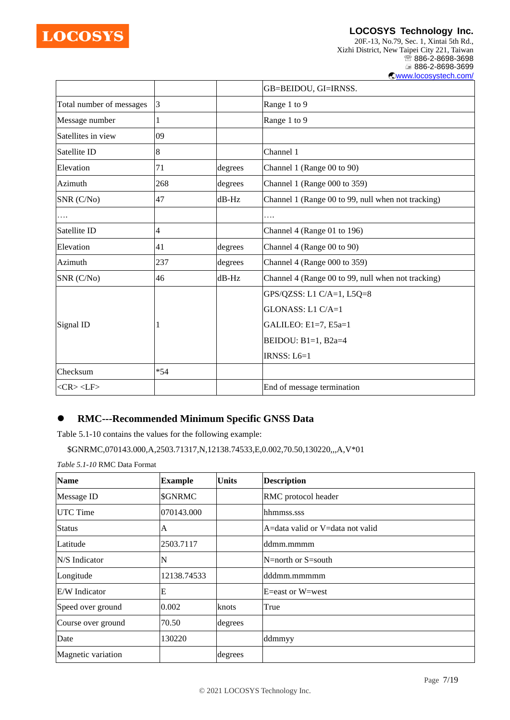

20F.-13, No.79, Sec. 1, Xintai 5th Rd., Xizhi District, New Taipei City 221, Taiwan <sup>2</sup>886-2-8698-3698 886-2-8698-3699 [www.locosystech.com/](http://www.locosystech.com/)

|                          |           |          | GB=BEIDOU, GI=IRNSS.                               |
|--------------------------|-----------|----------|----------------------------------------------------|
| Total number of messages | $\vert$ 3 |          | Range 1 to 9                                       |
| Message number           | 1         |          | Range 1 to 9                                       |
| Satellites in view       | 09        |          |                                                    |
| Satellite ID             | 8         |          | Channel 1                                          |
| Elevation                | 71        | degrees  | Channel 1 (Range 00 to 90)                         |
| Azimuth                  | 268       | degrees  | Channel 1 (Range 000 to 359)                       |
| SNR (C/No)               | 47        | $dB$ -Hz | Channel 1 (Range 00 to 99, null when not tracking) |
| .                        |           |          | .                                                  |
| Satellite ID             | 4         |          | Channel 4 (Range 01 to 196)                        |
| Elevation                | 41        | degrees  | Channel 4 (Range 00 to 90)                         |
| Azimuth                  | 237       | degrees  | Channel 4 (Range 000 to 359)                       |
| SNR (C/No)               | 46        | $dB$ -Hz | Channel 4 (Range 00 to 99, null when not tracking) |
|                          |           |          | GPS/QZSS: L1 C/A=1, L5Q=8                          |
|                          |           |          | GLONASS: L1 C/A=1                                  |
| Signal ID                |           |          | GALILEO: E1=7, E5a=1                               |
|                          |           |          | BEIDOU: B1=1, B2a=4                                |
|                          |           |          | IRNSS: L6=1                                        |
| Checksum                 | $*54$     |          |                                                    |
| $<$ CR> $<$ LF>          |           |          | End of message termination                         |

# ⚫ **RMC---Recommended Minimum Specific GNSS Data**

Table 5.1-10 contains the values for the following example:

\$GNRMC,070143.000,A,2503.71317,N,12138.74533,E,0.002,70.50,130220,,,A,V\*01

*Table 5.1-10* RMC Data Format

| <b>Name</b>        | <b>Example</b> | <b>Units</b> | <b>Description</b>               |
|--------------------|----------------|--------------|----------------------------------|
| Message ID         | \$GNRMC        |              | RMC protocol header              |
| <b>UTC</b> Time    | 070143.000     |              | hhmmss.sss                       |
| <b>Status</b>      | A              |              | A=data valid or V=data not valid |
| Latitude           | 2503.7117      |              | ddmm.mmmm                        |
| N/S Indicator      | N              |              | N=north or $S=$ south            |
| Longitude          | 12138.74533    |              | dddmm.mmmmm                      |
| E/W Indicator      | E              |              | $E =$ east or $W =$ west         |
| Speed over ground  | 0.002          | knots        | True                             |
| Course over ground | 70.50          | degrees      |                                  |
| Date               | 130220         |              | ddmmyy                           |
| Magnetic variation |                | degrees      |                                  |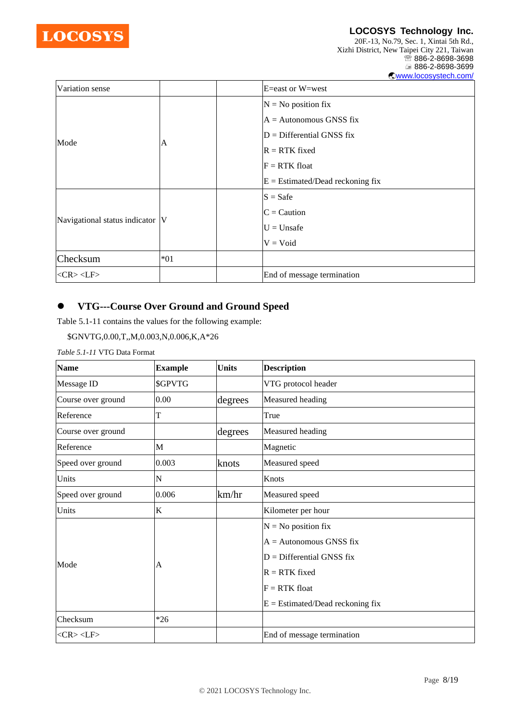

20F.-13, No.79, Sec. 1, Xintai 5th Rd., Xizhi District, New Taipei City 221, Taiwan <sup>2</sup>886-2-8698-3698 886-2-8698-3699 [www.locosystech.com/](http://www.locosystech.com/)

| Variation sense                 |       | E=east or W=west                   |
|---------------------------------|-------|------------------------------------|
|                                 |       | $N = No$ position fix              |
|                                 |       | $A =$ Autonomous GNSS fix          |
|                                 |       | $D =$ Differential GNSS fix        |
| Mode                            | A     | $R = RTK$ fixed                    |
|                                 |       | $F = RTK$ float                    |
|                                 |       | $E = Estimated/Dead$ reckoning fix |
| Navigational status indicator V |       | $S = S$ afe                        |
|                                 |       | $C =$ Caution                      |
|                                 |       | $U = Unsafe$                       |
|                                 |       | $V = Void$                         |
| Checksum                        | $*01$ |                                    |
| $<$ CR> $<$ LF>                 |       | End of message termination         |

### ⚫ **VTG---Course Over Ground and Ground Speed**

Table 5.1-11 contains the values for the following example:

```
$GNVTG,0.00,T,,M,0.003,N,0.006,K,A*26
```
*Table 5.1-11* VTG Data Format

| <b>Name</b>                         | <b>Example</b> | <b>Units</b> | <b>Description</b>                 |
|-------------------------------------|----------------|--------------|------------------------------------|
| Message ID                          | \$GPVTG        |              | VTG protocol header                |
| Course over ground                  | 0.00           | degrees      | Measured heading                   |
| Reference                           | T              |              | True                               |
| Course over ground                  |                | degrees      | Measured heading                   |
| Reference                           | M              |              | Magnetic                           |
| Speed over ground                   | 0.003          | knots        | Measured speed                     |
| Units                               | N              |              | Knots                              |
| Speed over ground                   | 0.006          | km/hr        | Measured speed                     |
| Units                               | K              |              | Kilometer per hour                 |
|                                     |                |              | $N = No$ position fix              |
|                                     |                |              | $A =$ Autonomous GNSS fix          |
| Mode<br>Checksum<br>$<$ CR> $<$ LF> |                |              | $D =$ Differential GNSS fix        |
|                                     | A              |              | $R = RTK$ fixed                    |
|                                     |                |              | $F = RTK$ float                    |
|                                     |                |              | $E =$ Estimated/Dead reckoning fix |
|                                     | $*26$          |              |                                    |
|                                     |                |              | End of message termination         |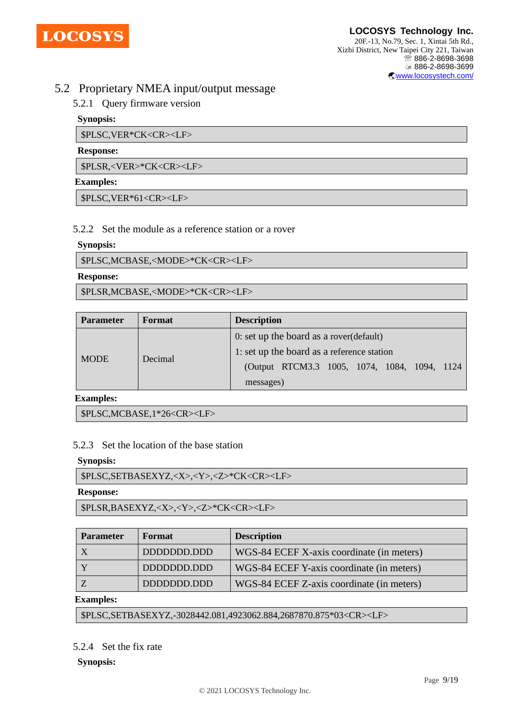

# 5.2 Proprietary NMEA input/output message

# 5.2.1 Query firmware version

### **Synopsis:**

\$PLSC,VER\*CK<CR><LF>

#### **Response:**

\$PLSR,<VER>\*CK<CR><LF>

### **Examples:**

\$PLSC,VER\*61<CR><LF>

### 5.2.2 Set the module as a reference station or a rover

### **Synopsis:**

\$PLSC,MCBASE,<MODE>\*CK<CR><LF>

### **Response:**

\$PLSR,MCBASE,<MODE>\*CK<CR><LF>

| <b>Parameter</b> | Format  | <b>Description</b>                            |
|------------------|---------|-----------------------------------------------|
| <b>MODE</b>      | Decimal | 0: set up the board as a rover (default)      |
|                  |         | 1: set up the board as a reference station    |
|                  |         | (Output RTCM3.3 1005, 1074, 1084, 1094, 1124) |
|                  |         | messages)                                     |

**Examples:** 

\$PLSC,MCBASE,1\*26<CR><LF>

### 5.2.3 Set the location of the base station

#### **Synopsis:**

\$PLSC,SETBASEXYZ,<X>,<Y>,<Z>\*CK<CR><LF>

#### **Response:**

\$PLSR,BASEXYZ,<X>,<Y>,<Z>\*CK<CR><LF>

| <b>Parameter</b> | Format      | <b>Description</b>                        |
|------------------|-------------|-------------------------------------------|
|                  | DDDDDDD.DDD | WGS-84 ECEF X-axis coordinate (in meters) |
|                  | DDDDDDD.DDD | WGS-84 ECEF Y-axis coordinate (in meters) |
|                  | DDDDDDD.DDD | WGS-84 ECEF Z-axis coordinate (in meters) |

#### **Examples:**

\$PLSC,SETBASEXYZ,-3028442.081,4923062.884,2687870.875\*03<CR><LF>

# 5.2.4 Set the fix rate

#### **Synopsis:**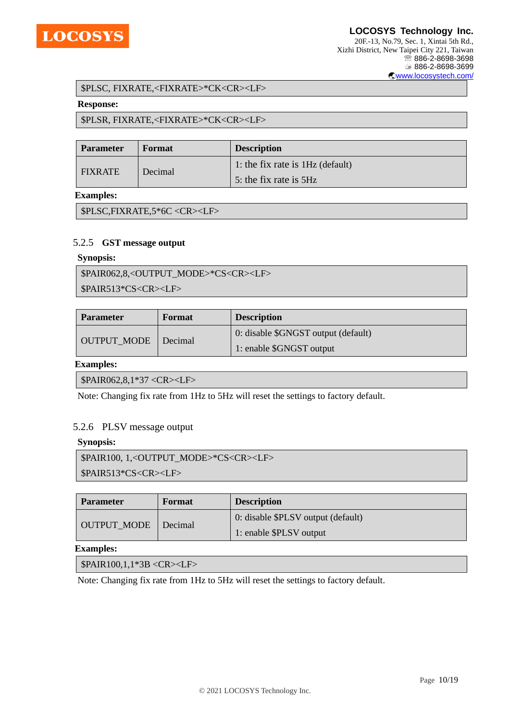

#### \$PLSC, FIXRATE,<FIXRATE>\*CK<CR><LF>

#### **Response:**

### \$PLSR, FIXRATE,<FIXRATE>\*CK<CR><LF>

| <b>Parameter</b> | Format  | <b>Description</b>                 |
|------------------|---------|------------------------------------|
| <b>FIXRATE</b>   | Decimal | 1: the fix rate is $1Hz$ (default) |
|                  |         | 5: the fix rate is 5Hz             |

#### **Examples:**

\$PLSC,FIXRATE,5\*6C <CR><LF>

#### 5.2.5 **GST message output**

#### **Synopsis:**

| \$PAIR062,8, <output mode="">*CS<cr><lf></lf></cr></output> |
|-------------------------------------------------------------|
| $\blacktriangleright$ \$PAIR513*CS <cr><lf></lf></cr>       |

| <b>Parameter</b>   | Format  | <b>Description</b>                  |
|--------------------|---------|-------------------------------------|
| <b>OUTPUT MODE</b> | Decimal | 0: disable \$GNGST output (default) |
|                    |         | 1: enable \$GNGST output            |

#### **Examples:**

\$PAIR062,8,1\*37 <CR><LF>

Note: Changing fix rate from 1Hz to 5Hz will reset the settings to factory default.

#### 5.2.6 PLSV message output

#### **Synopsis:**

```
$PAIR100, 1,<OUTPUT_MODE>*CS<CR><LF>
```
\$PAIR513\*CS<CR><LF>

| <b>Parameter</b>   | Format  | <b>Description</b>                 |
|--------------------|---------|------------------------------------|
| <b>OUTPUT MODE</b> | Decimal | 0: disable \$PLSV output (default) |
|                    |         | 1: enable \$PLSV output            |

#### **Examples:**

\$PAIR100,1,1\*3B <CR><LF>

Note: Changing fix rate from 1Hz to 5Hz will reset the settings to factory default.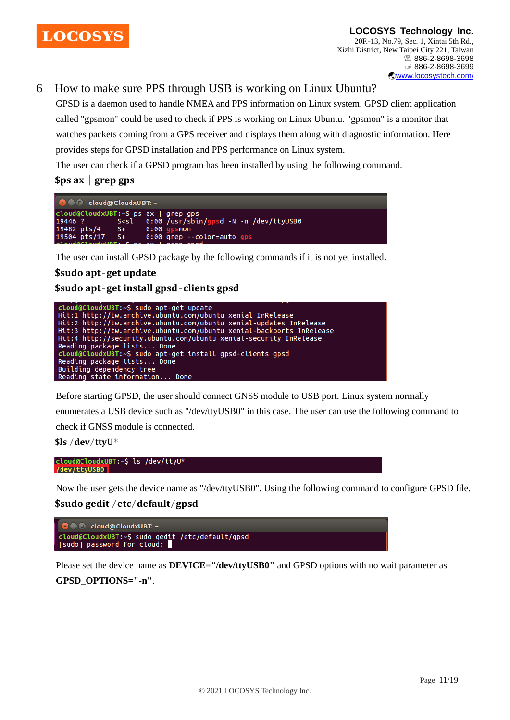

# 6 How to make sure PPS through USB is working on Linux Ubuntu?

GPSD is a daemon used to handle NMEA and PPS information on Linux system. GPSD client application called "gpsmon" could be used to check if PPS is working on Linux Ubuntu. "gpsmon" is a monitor that watches packets coming from a GPS receiver and displays them along with diagnostic information. Here provides steps for GPSD installation and PPS performance on Linux system.

The user can check if a GPSD program has been installed by using the following command.

**\$ps ax** | **grep gps**



The user can install GPSD package by the following commands if it is not yet installed.

# **\$sudo apt**-**get update**

**\$sudo apt**-**get install gpsd**-**clients gpsd**



Before starting GPSD, the user should connect GNSS module to USB port. Linux system normally

enumerates a USB device such as "/dev/ttyUSB0" in this case. The user can use the following command to

check if GNSS module is connected.

```
$ls /dev/ttyU*
```

```
cloud@CloudxUBT:~$ ls /dev/ttyU*
/dev/ttyUSB0
```
Now the user gets the device name as "/dev/ttyUSB0". Using the following command to configure GPSD file.

### **\$sudo gedit** /**etc**/**default**/**gpsd**



Please set the device name as **DEVICE="/dev/ttyUSB0"** and GPSD options with no wait parameter as **GPSD\_OPTIONS="-n"**.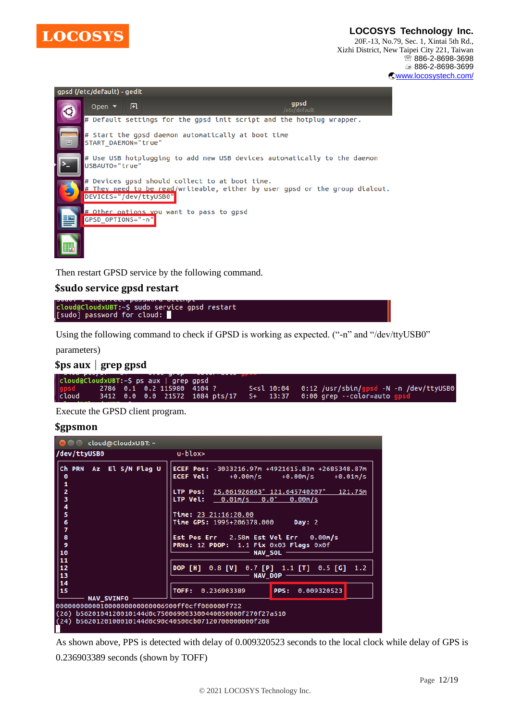

**LOCOSYS Technology Inc.** 20F.-13, No.79, Sec. 1, Xintai 5th Rd., Xizhi District, New Taipei City 221, Taiwan

■ 886-2-8698-3698 886-2-8698-3699 [www.locosystech.com/](http://www.locosystech.com/)



Then restart GPSD service by the following command.

### **\$sudo service gpsd restart**

```
cloud@CloudxUBT:~$ sudo service gpsd restart
\sqrt{3} [sudo] password for cloud:
```
Using the following command to check if GPSD is working as expected. ("-n" and "/dev/ttyUSB0"

parameters)



Execute the GPSD client program.

#### **\$gpsmon**

| <b>8 C</b> cloud@CloudxUBT: ~                                                                                     |                                                                                                                                                                                                                                                                                                                                                                                                           |
|-------------------------------------------------------------------------------------------------------------------|-----------------------------------------------------------------------------------------------------------------------------------------------------------------------------------------------------------------------------------------------------------------------------------------------------------------------------------------------------------------------------------------------------------|
| /dev/ttyUSB0                                                                                                      | $u$ -blox $>$                                                                                                                                                                                                                                                                                                                                                                                             |
| Ch PRN Az El S/N Flag U<br>$\bullet$<br>1<br>$\overline{2}$<br>3<br>4<br>5<br>6<br>7<br>8<br>$\overline{9}$<br>10 | ECEF Pos: -3033216.97m +4921615.83m +2685348.87m<br><b>ECEF Vel:</b><br>+0.00m/s<br>$+0.00m/s$<br>$+0.01m/s$<br>LTP Pos: $25.061926663° 121.645740207°$<br>121.75m<br><b>LTP Vel:</b> $\frac{0.01 \text{m/s}}{s}$ 0.0°<br>0.00 m/s<br>Time: 23 21:16:20.00<br>Time GPS: 1995+206378.000 Day: 2<br>Est Pos Err 2.58m Est Vel Err<br>$0.00m$ /s<br>PRNs: 12 PDOP: 1.1 Fix 0x03 Flags 0x0f<br><b>NAV_SOL</b> |
| 11                                                                                                                |                                                                                                                                                                                                                                                                                                                                                                                                           |
| 12<br>13                                                                                                          | <b>DOP [H]</b><br>0.8 [V] 0.7 [P] 1.1 [T] 0.5 [G] 1.2<br><b>NAV DOP</b>                                                                                                                                                                                                                                                                                                                                   |
| 14                                                                                                                |                                                                                                                                                                                                                                                                                                                                                                                                           |
| 15<br><b>NAV SVINFO</b>                                                                                           | TOFF:<br>0.236903389<br>PPS:<br>0.009320523                                                                                                                                                                                                                                                                                                                                                               |
| 000000000001000000000000000000ff0cff000000f722                                                                    |                                                                                                                                                                                                                                                                                                                                                                                                           |
|                                                                                                                   | (26) b5620104120010144d0c750069003300440050000f270f27a510                                                                                                                                                                                                                                                                                                                                                 |
| (24)                                                                                                              | b5620120100010144d0c90c40500cb07120700000000f208                                                                                                                                                                                                                                                                                                                                                          |

As shown above, PPS is detected with delay of 0.009320523 seconds to the local clock while delay of GPS is 0.236903389 seconds (shown by TOFF)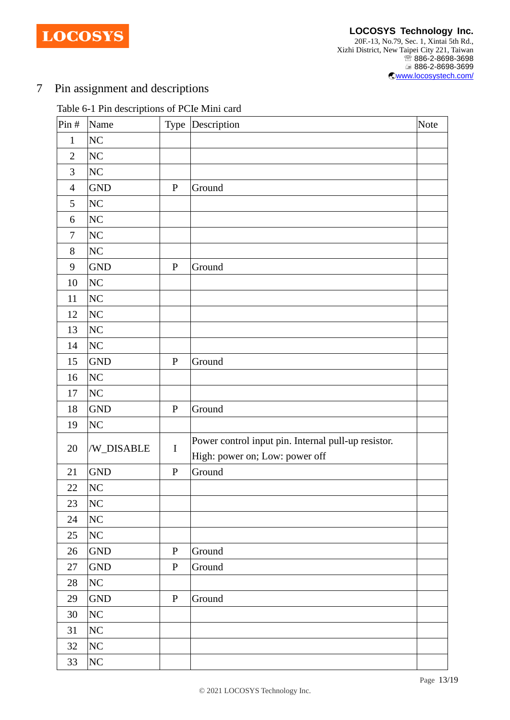**LOCOSYS** 

# Pin assignment and descriptions

# Table 6-1 Pin descriptions of PCIe Mini card

| Pin#           | Name           |              | Type Description                                    | Note |
|----------------|----------------|--------------|-----------------------------------------------------|------|
| $\mathbf{1}$   | N <sub>C</sub> |              |                                                     |      |
| $\overline{2}$ | N <sub>C</sub> |              |                                                     |      |
| 3              | N <sub>C</sub> |              |                                                     |      |
| $\overline{4}$ | <b>GND</b>     | ${\bf P}$    | Ground                                              |      |
| 5              | N <sub>C</sub> |              |                                                     |      |
| 6              | N <sub>C</sub> |              |                                                     |      |
| $\tau$         | N <sub>C</sub> |              |                                                     |      |
| 8              | N <sub>C</sub> |              |                                                     |      |
| 9              | <b>GND</b>     | $\, {\bf P}$ | Ground                                              |      |
| 10             | N <sub>C</sub> |              |                                                     |      |
| 11             | N <sub>C</sub> |              |                                                     |      |
| 12             | N <sub>C</sub> |              |                                                     |      |
| 13             | N <sub>C</sub> |              |                                                     |      |
| 14             | N <sub>C</sub> |              |                                                     |      |
| 15             | <b>GND</b>     | ${\bf P}$    | Ground                                              |      |
| 16             | N <sub>C</sub> |              |                                                     |      |
| 17             | N <sub>C</sub> |              |                                                     |      |
| 18             | <b>GND</b>     | $\mathbf P$  | Ground                                              |      |
| 19             | N <sub>C</sub> |              |                                                     |      |
| 20             |                | $\bf I$      | Power control input pin. Internal pull-up resistor. |      |
|                | /W_DISABLE     |              | High: power on; Low: power off                      |      |
| 21             | <b>GND</b>     | ${\bf P}$    | Ground                                              |      |
| 22             | N <sub>C</sub> |              |                                                     |      |
| 23             | <b>NC</b>      |              |                                                     |      |
| 24             | N <sub>C</sub> |              |                                                     |      |
| 25             | NC             |              |                                                     |      |
| 26             | <b>GND</b>     | ${\bf P}$    | Ground                                              |      |
| 27             | <b>GND</b>     | $\mathbf P$  | Ground                                              |      |
| 28             | N <sub>C</sub> |              |                                                     |      |
| 29             | <b>GND</b>     | $\mathbf{P}$ | Ground                                              |      |
| 30             | N <sub>C</sub> |              |                                                     |      |
| 31             | N <sub>C</sub> |              |                                                     |      |
| 32             | N <sub>C</sub> |              |                                                     |      |
| 33             | N <sub>C</sub> |              |                                                     |      |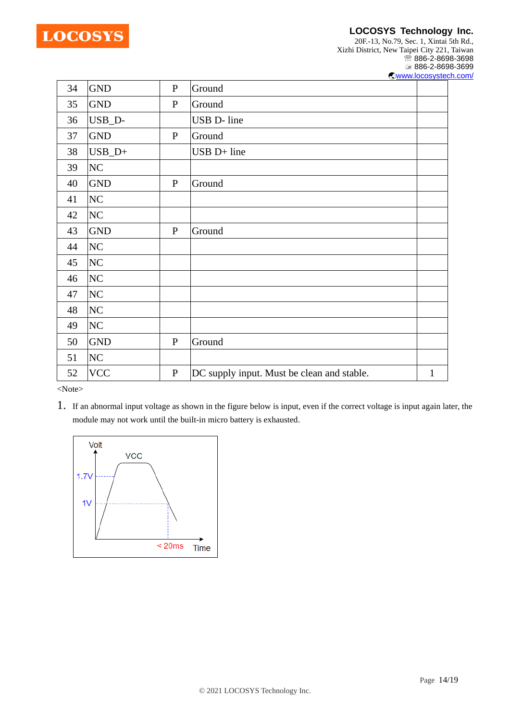

20F.-13, No.79, Sec. 1, Xintai 5th Rd., Xizhi District, New Taipei City 221, Taiwan <sup>2</sup>886-2-8698-3698 886-2-8698-3699 [www.locosystech.com/](http://www.locosystech.com/)

| 34 | <b>GND</b>     | $\mathbf{P}$ | Ground                                     |   |
|----|----------------|--------------|--------------------------------------------|---|
| 35 | <b>GND</b>     | $\mathbf{P}$ | Ground                                     |   |
| 36 | USB_D-         |              | USB D- line                                |   |
| 37 | <b>GND</b>     | $\mathbf{P}$ | Ground                                     |   |
| 38 | $USB_D+$       |              | USB D+ line                                |   |
| 39 | N <sub>C</sub> |              |                                            |   |
| 40 | <b>GND</b>     | $\mathbf{P}$ | Ground                                     |   |
| 41 | N <sub>C</sub> |              |                                            |   |
| 42 | N <sub>C</sub> |              |                                            |   |
| 43 | <b>GND</b>     | $\mathbf{P}$ | Ground                                     |   |
| 44 | N <sub>C</sub> |              |                                            |   |
| 45 | N <sub>C</sub> |              |                                            |   |
| 46 | N <sub>C</sub> |              |                                            |   |
| 47 | N <sub>C</sub> |              |                                            |   |
| 48 | N <sub>C</sub> |              |                                            |   |
| 49 | N <sub>C</sub> |              |                                            |   |
| 50 | <b>GND</b>     | $\mathbf{P}$ | Ground                                     |   |
| 51 | N <sub>C</sub> |              |                                            |   |
| 52 | <b>VCC</b>     | ${\bf P}$    | DC supply input. Must be clean and stable. | 1 |

<Note>

1. If an abnormal input voltage as shown in the figure below is input, even if the correct voltage is input again later, the module may not work until the built-in micro battery is exhausted.

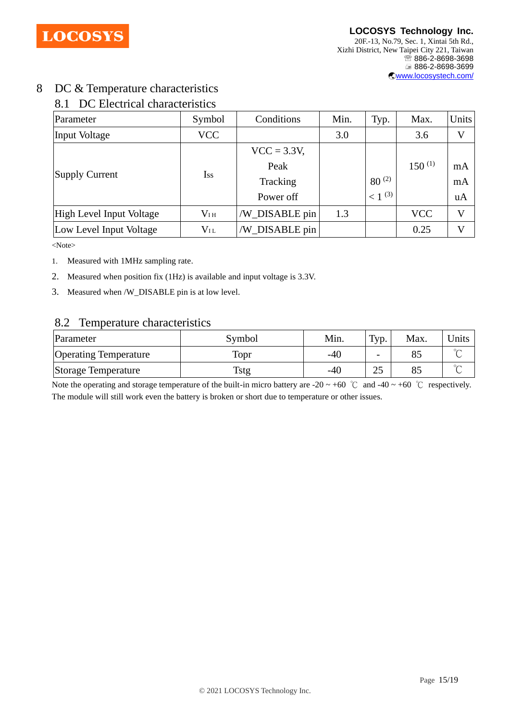

# 8 DC & Temperature characteristics

# 8.1 DC Electrical characteristics

| Parameter                | Symbol       | Conditions     | Min. | Typ.        | Max.        | <b>Units</b> |
|--------------------------|--------------|----------------|------|-------------|-------------|--------------|
| Input Voltage            | <b>VCC</b>   |                | 3.0  |             | 3.6         | V            |
|                          | Iss          | $VCC = 3.3V,$  |      |             |             |              |
|                          |              | Peak           |      |             | $150^{(1)}$ | mA           |
| Supply Current           |              | Tracking       |      | $80^{(2)}$  |             | mA           |
|                          |              | Power off      |      | $< 1^{(3)}$ |             | uA           |
| High Level Input Voltage | $V_{\rm IH}$ | /W_DISABLE pin | 1.3  |             | <b>VCC</b>  | $\mathbf V$  |
| Low Level Input Voltage  | $V_{\rm IL}$ | /W_DISABLE pin |      |             | 0.25        | V            |

<Note>

1. Measured with 1MHz sampling rate.

- 2. Measured when position fix (1Hz) is available and input voltage is 3.3V.
- 3. Measured when /W\_DISABLE pin is at low level.

### 8.2 Temperature characteristics

| Parameter                    | Symbol | Min.  | $\tau_{\text{vp}}$ .     | Max. | <b>J</b> nits |
|------------------------------|--------|-------|--------------------------|------|---------------|
| <b>Operating Temperature</b> | Topr   | $-40$ | $\overline{\phantom{a}}$ | 85   | $\sim$        |
| Storage Temperature          | Tstg   | -40   | າເ<br>ت-ک                | 85   | $\sim$        |

Note the operating and storage temperature of the built-in micro battery are -20 ~ +60 °C and -40 ~ +60 °C respectively. The module will still work even the battery is broken or short due to temperature or other issues.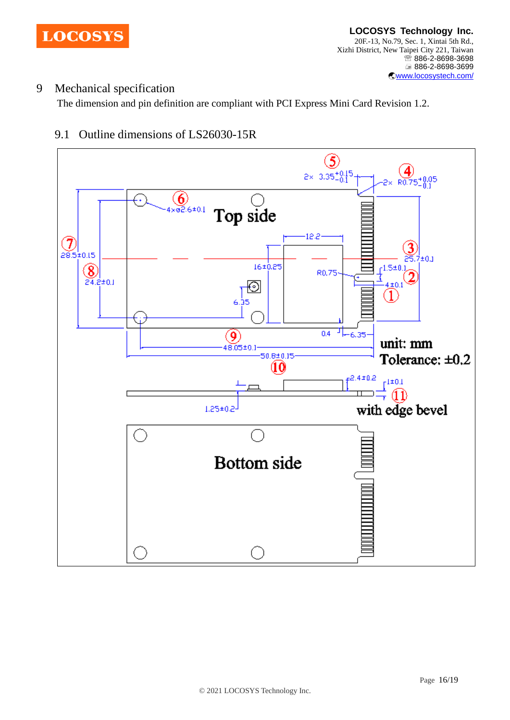

# 9 Mechanical specification

The dimension and pin definition are compliant with PCI Express Mini Card Revision 1.2.



# 9.1 Outline dimensions of LS26030-15R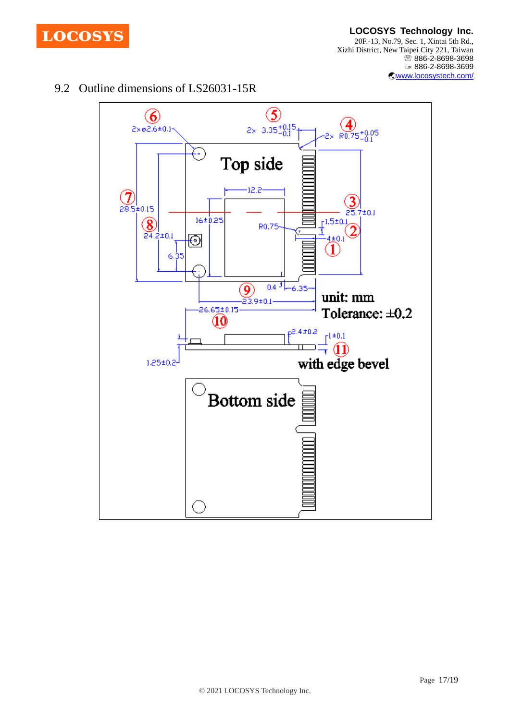

#### **LOCOSYS Technology Inc.** 20F.-13, No.79, Sec. 1, Xintai 5th Rd., Xizhi District, New Taipei City 221, Taiwan <sup>5</sup>886-2-8698-3698 886-2-8698-3699 [www.locosystech.com/](http://www.locosystech.com/)

# 9.2 Outline dimensions of LS26031-15R

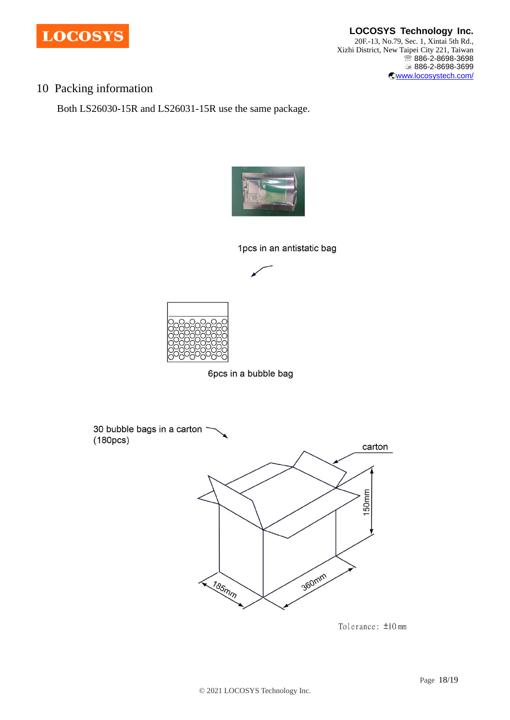

**LOCOSYS Technology Inc.** 20F.-13, No.79, Sec. 1, Xintai 5th Rd., Xizhi District, New Taipei City 221, Taiwan <sup>2</sup>886-2-8698-3698 886-2-8698-3699 [www.locosystech.com/](http://www.locosystech.com/)

# 10 Packing information

Both LS26030-15R and LS26031-15R use the same package.



1pcs in an antistatic bag





6pcs in a bubble bag



Tolerance: ±10 mm